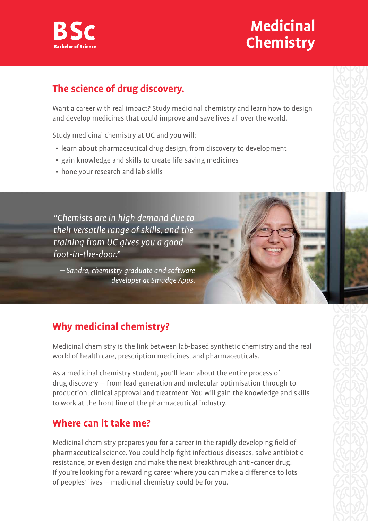

# **Medicinal Chemistry**

## **The science of drug discovery.**

Want a career with real impact? Study medicinal chemistry and learn how to design and develop medicines that could improve and save lives all over the world.

Study medicinal chemistry at UC and you will:

- learn about pharmaceutical drug design, from discovery to development
- gain knowledge and skills to create life-saving medicines
- hone your research and lab skills

"Chemists are in high demand due to their versatile range of skills, and the training from UC gives you a good foot-in-the-door."

— Sandra, chemistry graduate and software developer at Smudge Apps.

## **Why medicinal chemistry?**

Medicinal chemistry is the link between lab-based synthetic chemistry and the real world of health care, prescription medicines, and pharmaceuticals.

As a medicinal chemistry student, you'll learn about the entire process of drug discovery — from lead generation and molecular optimisation through to production, clinical approval and treatment. You will gain the knowledge and skills to work at the front line of the pharmaceutical industry.

### **Where can it take me?**

Medicinal chemistry prepares you for a career in the rapidly developing field of pharmaceutical science. You could help fight infectious diseases, solve antibiotic resistance, or even design and make the next breakthrough anti-cancer drug. If you're looking for a rewarding career where you can make a difference to lots of peoples' lives — medicinal chemistry could be for you.